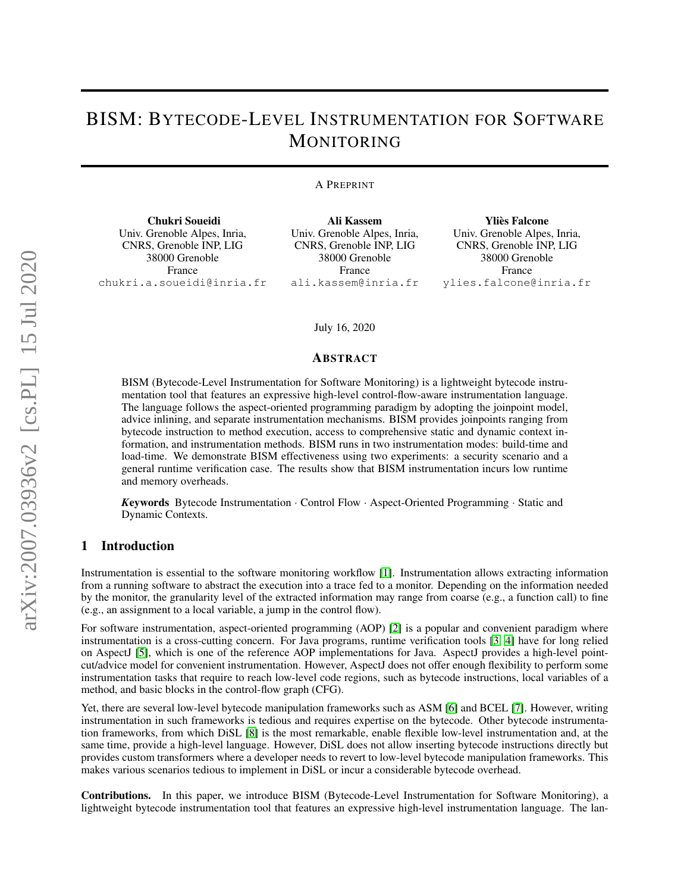# BISM: BYTECODE-LEVEL INSTRUMENTATION FOR SOFTWARE MONITORING

#### A PREPRINT

Chukri Soueidi Univ. Grenoble Alpes, Inria, CNRS, Grenoble INP, LIG 38000 Grenoble France chukri.a.soueidi@inria.fr

Ali Kassem Univ. Grenoble Alpes, Inria, CNRS, Grenoble INP, LIG 38000 Grenoble France ali.kassem@inria.fr

Ylies Falcone ` Univ. Grenoble Alpes, Inria, CNRS, Grenoble INP, LIG 38000 Grenoble France ylies.falcone@inria.fr

#### July 16, 2020

#### ABSTRACT

BISM (Bytecode-Level Instrumentation for Software Monitoring) is a lightweight bytecode instrumentation tool that features an expressive high-level control-flow-aware instrumentation language. The language follows the aspect-oriented programming paradigm by adopting the joinpoint model, advice inlining, and separate instrumentation mechanisms. BISM provides joinpoints ranging from bytecode instruction to method execution, access to comprehensive static and dynamic context information, and instrumentation methods. BISM runs in two instrumentation modes: build-time and load-time. We demonstrate BISM effectiveness using two experiments: a security scenario and a general runtime verification case. The results show that BISM instrumentation incurs low runtime and memory overheads.

*K*eywords Bytecode Instrumentation · Control Flow · Aspect-Oriented Programming · Static and Dynamic Contexts.

## 1 Introduction

Instrumentation is essential to the software monitoring workflow [\[1\]](#page-11-0). Instrumentation allows extracting information from a running software to abstract the execution into a trace fed to a monitor. Depending on the information needed by the monitor, the granularity level of the extracted information may range from coarse (e.g., a function call) to fine (e.g., an assignment to a local variable, a jump in the control flow).

For software instrumentation, aspect-oriented programming (AOP) [\[2\]](#page-11-1) is a popular and convenient paradigm where instrumentation is a cross-cutting concern. For Java programs, runtime verification tools [\[3,](#page-11-2) [4\]](#page-11-3) have for long relied on AspectJ [\[5\]](#page-11-4), which is one of the reference AOP implementations for Java. AspectJ provides a high-level pointcut/advice model for convenient instrumentation. However, AspectJ does not offer enough flexibility to perform some instrumentation tasks that require to reach low-level code regions, such as bytecode instructions, local variables of a method, and basic blocks in the control-flow graph (CFG).

Yet, there are several low-level bytecode manipulation frameworks such as ASM [\[6\]](#page-11-5) and BCEL [\[7\]](#page-11-6). However, writing instrumentation in such frameworks is tedious and requires expertise on the bytecode. Other bytecode instrumentation frameworks, from which DiSL [\[8\]](#page-11-7) is the most remarkable, enable flexible low-level instrumentation and, at the same time, provide a high-level language. However, DiSL does not allow inserting bytecode instructions directly but provides custom transformers where a developer needs to revert to low-level bytecode manipulation frameworks. This makes various scenarios tedious to implement in DiSL or incur a considerable bytecode overhead.

Contributions. In this paper, we introduce BISM (Bytecode-Level Instrumentation for Software Monitoring), a lightweight bytecode instrumentation tool that features an expressive high-level instrumentation language. The lan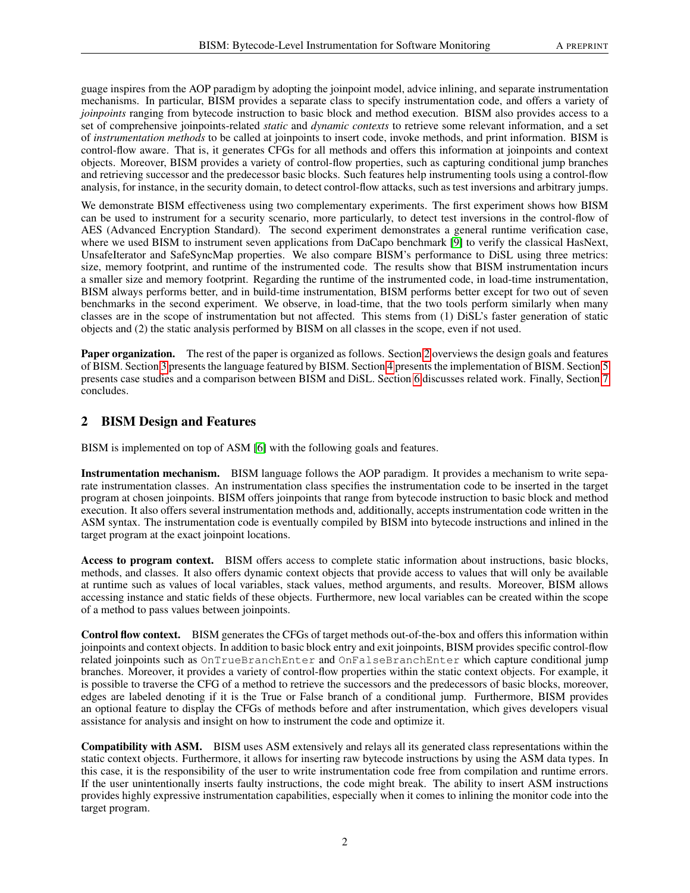guage inspires from the AOP paradigm by adopting the joinpoint model, advice inlining, and separate instrumentation mechanisms. In particular, BISM provides a separate class to specify instrumentation code, and offers a variety of *joinpoints* ranging from bytecode instruction to basic block and method execution. BISM also provides access to a set of comprehensive joinpoints-related *static* and *dynamic contexts* to retrieve some relevant information, and a set of *instrumentation methods* to be called at joinpoints to insert code, invoke methods, and print information. BISM is control-flow aware. That is, it generates CFGs for all methods and offers this information at joinpoints and context objects. Moreover, BISM provides a variety of control-flow properties, such as capturing conditional jump branches and retrieving successor and the predecessor basic blocks. Such features help instrumenting tools using a control-flow analysis, for instance, in the security domain, to detect control-flow attacks, such as test inversions and arbitrary jumps.

We demonstrate BISM effectiveness using two complementary experiments. The first experiment shows how BISM can be used to instrument for a security scenario, more particularly, to detect test inversions in the control-flow of AES (Advanced Encryption Standard). The second experiment demonstrates a general runtime verification case, where we used BISM to instrument seven applications from DaCapo benchmark [\[9\]](#page-11-8) to verify the classical HasNext, UnsafeIterator and SafeSyncMap properties. We also compare BISM's performance to DiSL using three metrics: size, memory footprint, and runtime of the instrumented code. The results show that BISM instrumentation incurs a smaller size and memory footprint. Regarding the runtime of the instrumented code, in load-time instrumentation, BISM always performs better, and in build-time instrumentation, BISM performs better except for two out of seven benchmarks in the second experiment. We observe, in load-time, that the two tools perform similarly when many classes are in the scope of instrumentation but not affected. This stems from (1) DiSL's faster generation of static objects and (2) the static analysis performed by BISM on all classes in the scope, even if not used.

Paper organization. The rest of the paper is organized as follows. Section [2](#page-1-0) overviews the design goals and features of BISM. Section [3](#page-2-0) presents the language featured by BISM. Section [4](#page-6-0) presents the implementation of BISM. Section [5](#page-7-0) presents case studies and a comparison between BISM and DiSL. Section [6](#page-9-0) discusses related work. Finally, Section [7](#page-10-0) concludes.

# <span id="page-1-0"></span>2 BISM Design and Features

BISM is implemented on top of ASM [\[6\]](#page-11-5) with the following goals and features.

Instrumentation mechanism. BISM language follows the AOP paradigm. It provides a mechanism to write separate instrumentation classes. An instrumentation class specifies the instrumentation code to be inserted in the target program at chosen joinpoints. BISM offers joinpoints that range from bytecode instruction to basic block and method execution. It also offers several instrumentation methods and, additionally, accepts instrumentation code written in the ASM syntax. The instrumentation code is eventually compiled by BISM into bytecode instructions and inlined in the target program at the exact joinpoint locations.

Access to program context. BISM offers access to complete static information about instructions, basic blocks, methods, and classes. It also offers dynamic context objects that provide access to values that will only be available at runtime such as values of local variables, stack values, method arguments, and results. Moreover, BISM allows accessing instance and static fields of these objects. Furthermore, new local variables can be created within the scope of a method to pass values between joinpoints.

Control flow context. BISM generates the CFGs of target methods out-of-the-box and offers this information within joinpoints and context objects. In addition to basic block entry and exit joinpoints, BISM provides specific control-flow related joinpoints such as OnTrueBranchEnter and OnFalseBranchEnter which capture conditional jump branches. Moreover, it provides a variety of control-flow properties within the static context objects. For example, it is possible to traverse the CFG of a method to retrieve the successors and the predecessors of basic blocks, moreover, edges are labeled denoting if it is the True or False branch of a conditional jump. Furthermore, BISM provides an optional feature to display the CFGs of methods before and after instrumentation, which gives developers visual assistance for analysis and insight on how to instrument the code and optimize it.

Compatibility with ASM. BISM uses ASM extensively and relays all its generated class representations within the static context objects. Furthermore, it allows for inserting raw bytecode instructions by using the ASM data types. In this case, it is the responsibility of the user to write instrumentation code free from compilation and runtime errors. If the user unintentionally inserts faulty instructions, the code might break. The ability to insert ASM instructions provides highly expressive instrumentation capabilities, especially when it comes to inlining the monitor code into the target program.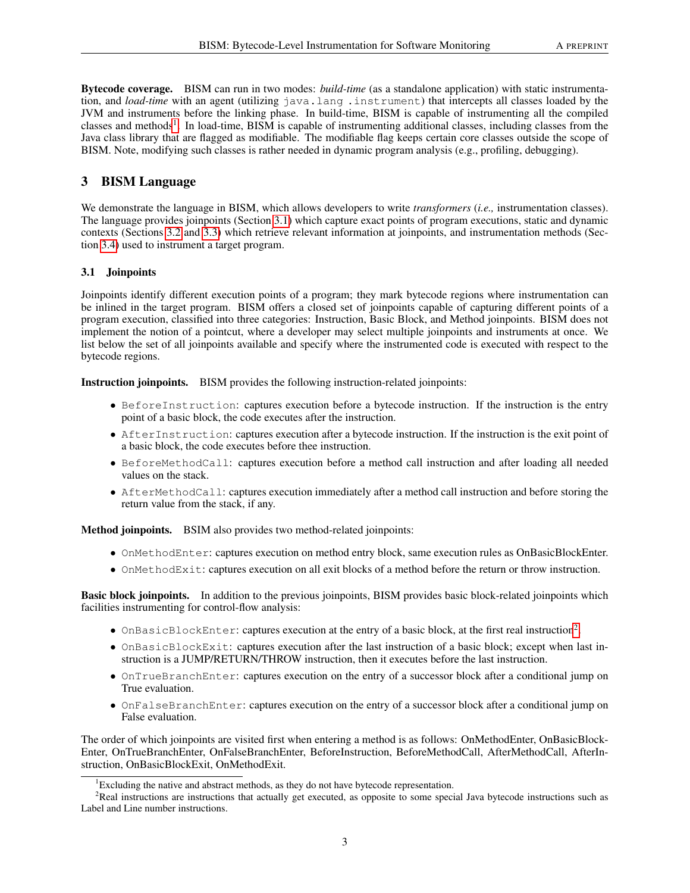Bytecode coverage. BISM can run in two modes: *build-time* (as a standalone application) with static instrumentation, and *load-time* with an agent (utilizing java.lang .instrument) that intercepts all classes loaded by the JVM and instruments before the linking phase. In build-time, BISM is capable of instrumenting all the compiled classes and methods<sup>[1](#page-2-1)</sup>. In load-time, BISM is capable of instrumenting additional classes, including classes from the Java class library that are flagged as modifiable. The modifiable flag keeps certain core classes outside the scope of BISM. Note, modifying such classes is rather needed in dynamic program analysis (e.g., profiling, debugging).

# <span id="page-2-0"></span>3 BISM Language

We demonstrate the language in BISM, which allows developers to write *transformers* (*i.e.,* instrumentation classes). The language provides joinpoints (Section [3.1\)](#page-2-2) which capture exact points of program executions, static and dynamic contexts (Sections [3.2](#page-3-0) and [3.3\)](#page-4-0) which retrieve relevant information at joinpoints, and instrumentation methods (Section [3.4\)](#page-5-0) used to instrument a target program.

## <span id="page-2-2"></span>3.1 Joinpoints

Joinpoints identify different execution points of a program; they mark bytecode regions where instrumentation can be inlined in the target program. BISM offers a closed set of joinpoints capable of capturing different points of a program execution, classified into three categories: Instruction, Basic Block, and Method joinpoints. BISM does not implement the notion of a pointcut, where a developer may select multiple joinpoints and instruments at once. We list below the set of all joinpoints available and specify where the instrumented code is executed with respect to the bytecode regions.

Instruction joinpoints. BISM provides the following instruction-related joinpoints:

- BeforeInstruction: captures execution before a bytecode instruction. If the instruction is the entry point of a basic block, the code executes after the instruction.
- AfterInstruction: captures execution after a bytecode instruction. If the instruction is the exit point of a basic block, the code executes before thee instruction.
- BeforeMethodCall: captures execution before a method call instruction and after loading all needed values on the stack.
- AfterMethodCall: captures execution immediately after a method call instruction and before storing the return value from the stack, if any.

Method joinpoints. BSIM also provides two method-related joinpoints:

- OnMethodEnter: captures execution on method entry block, same execution rules as OnBasicBlockEnter.
- OnMethodExit: captures execution on all exit blocks of a method before the return or throw instruction.

Basic block joinpoints. In addition to the previous joinpoints, BISM provides basic block-related joinpoints which facilities instrumenting for control-flow analysis:

- OnBasicBlockEnter: captures execution at the entry of a basic block, at the first real instruction<sup>[2](#page-2-3)</sup>.
- OnBasicBlockExit: captures execution after the last instruction of a basic block; except when last instruction is a JUMP/RETURN/THROW instruction, then it executes before the last instruction.
- OnTrueBranchEnter: captures execution on the entry of a successor block after a conditional jump on True evaluation.
- OnFalseBranchEnter: captures execution on the entry of a successor block after a conditional jump on False evaluation.

The order of which joinpoints are visited first when entering a method is as follows: OnMethodEnter, OnBasicBlock-Enter, OnTrueBranchEnter, OnFalseBranchEnter, BeforeInstruction, BeforeMethodCall, AfterMethodCall, AfterInstruction, OnBasicBlockExit, OnMethodExit.

<span id="page-2-3"></span><span id="page-2-1"></span><sup>&</sup>lt;sup>1</sup>Excluding the native and abstract methods, as they do not have bytecode representation.

<sup>&</sup>lt;sup>2</sup>Real instructions are instructions that actually get executed, as opposite to some special Java bytecode instructions such as Label and Line number instructions.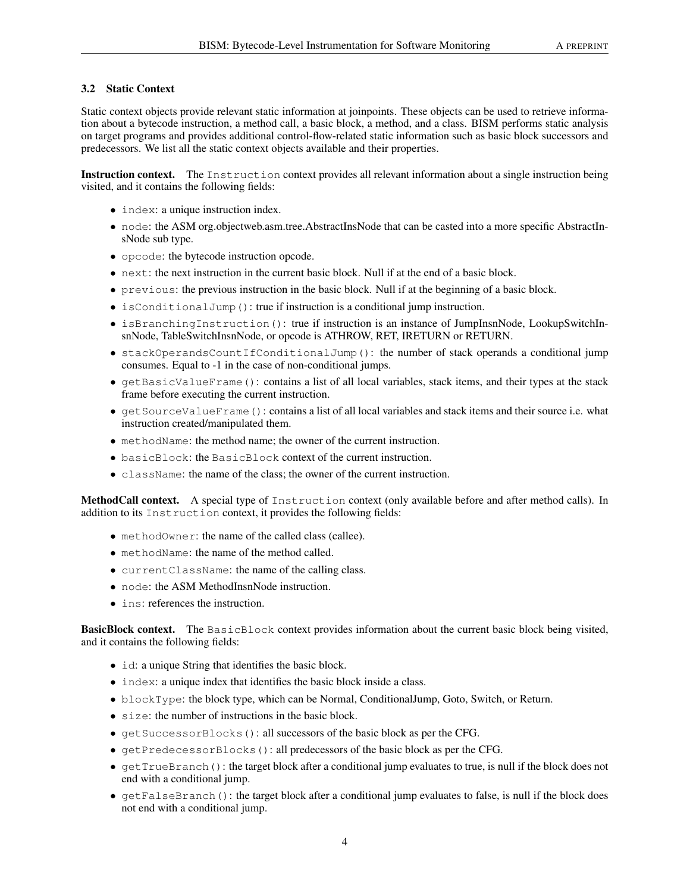## <span id="page-3-0"></span>3.2 Static Context

Static context objects provide relevant static information at joinpoints. These objects can be used to retrieve information about a bytecode instruction, a method call, a basic block, a method, and a class. BISM performs static analysis on target programs and provides additional control-flow-related static information such as basic block successors and predecessors. We list all the static context objects available and their properties.

Instruction context. The Instruction context provides all relevant information about a single instruction being visited, and it contains the following fields:

- index: a unique instruction index.
- node: the ASM org.objectweb.asm.tree.AbstractInsNode that can be casted into a more specific AbstractInsNode sub type.
- opcode: the bytecode instruction opcode.
- next: the next instruction in the current basic block. Null if at the end of a basic block.
- previous: the previous instruction in the basic block. Null if at the beginning of a basic block.
- isConditionalJump(): true if instruction is a conditional jump instruction.
- isBranchingInstruction(): true if instruction is an instance of JumpInsnNode, LookupSwitchInsnNode, TableSwitchInsnNode, or opcode is ATHROW, RET, IRETURN or RETURN.
- stackOperandsCountIfConditionalJump(): the number of stack operands a conditional jump consumes. Equal to -1 in the case of non-conditional jumps.
- getBasicValueFrame(): contains a list of all local variables, stack items, and their types at the stack frame before executing the current instruction.
- getSourceValueFrame(): contains a list of all local variables and stack items and their source i.e. what instruction created/manipulated them.
- methodName: the method name; the owner of the current instruction.
- basicBlock: the BasicBlock context of the current instruction.
- className: the name of the class; the owner of the current instruction.

MethodCall context. A special type of Instruction context (only available before and after method calls). In addition to its Instruction context, it provides the following fields:

- methodOwner: the name of the called class (callee).
- methodName: the name of the method called.
- currentClassName: the name of the calling class.
- node: the ASM MethodInsnNode instruction.
- ins: references the instruction.

BasicBlock context. The BasicBlock context provides information about the current basic block being visited, and it contains the following fields:

- id: a unique String that identifies the basic block.
- index: a unique index that identifies the basic block inside a class.
- blockType: the block type, which can be Normal, ConditionalJump, Goto, Switch, or Return.
- size: the number of instructions in the basic block.
- getSuccessorBlocks(): all successors of the basic block as per the CFG.
- getPredecessorBlocks(): all predecessors of the basic block as per the CFG.
- getTrueBranch(): the target block after a conditional jump evaluates to true, is null if the block does not end with a conditional jump.
- getFalseBranch(): the target block after a conditional jump evaluates to false, is null if the block does not end with a conditional jump.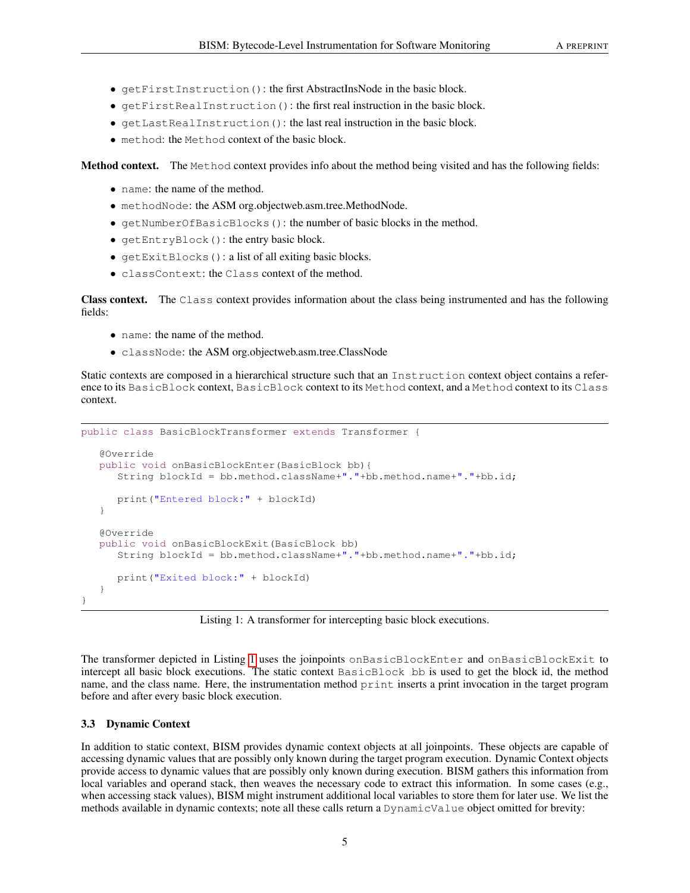- getFirstInstruction(): the first AbstractInsNode in the basic block.
- getFirstRealInstruction(): the first real instruction in the basic block.
- getLastRealInstruction(): the last real instruction in the basic block.
- method: the Method context of the basic block.

Method context. The Method context provides info about the method being visited and has the following fields:

- name: the name of the method.
- methodNode: the ASM org.objectweb.asm.tree.MethodNode.
- getNumberOfBasicBlocks(): the number of basic blocks in the method.
- getEntryBlock(): the entry basic block.
- getExitBlocks(): a list of all exiting basic blocks.
- classContext: the Class context of the method.

Class context. The Class context provides information about the class being instrumented and has the following fields:

- name: the name of the method.
- classNode: the ASM org.objectweb.asm.tree.ClassNode

Static contexts are composed in a hierarchical structure such that an Instruction context object contains a reference to its BasicBlock context, BasicBlock context to its Method context, and a Method context to its Class context.

```
public class BasicBlockTransformer extends Transformer {
   @Override
   public void onBasicBlockEnter(BasicBlock bb){
      String blockId = bb.method.className+"."+bb.method.name+"."+bb.id;
      print("Entered block:" + blockId)
   }
   @Override
   public void onBasicBlockExit(BasicBlock bb)
      String blockId = bb.method.className+"."+bb.method.name+"."+bb.id;
      print("Exited block:" + blockId)
   }
}
```
Listing 1: A transformer for intercepting basic block executions.

The transformer depicted in Listing [1](#page-4-1) uses the joinpoints onBasicBlockEnter and onBasicBlockExit to intercept all basic block executions. The static context BasicBlock bb is used to get the block id, the method name, and the class name. Here, the instrumentation method print inserts a print invocation in the target program before and after every basic block execution.

#### <span id="page-4-0"></span>3.3 Dynamic Context

In addition to static context, BISM provides dynamic context objects at all joinpoints. These objects are capable of accessing dynamic values that are possibly only known during the target program execution. Dynamic Context objects provide access to dynamic values that are possibly only known during execution. BISM gathers this information from local variables and operand stack, then weaves the necessary code to extract this information. In some cases (e.g., when accessing stack values), BISM might instrument additional local variables to store them for later use. We list the methods available in dynamic contexts; note all these calls return a DynamicValue object omitted for brevity: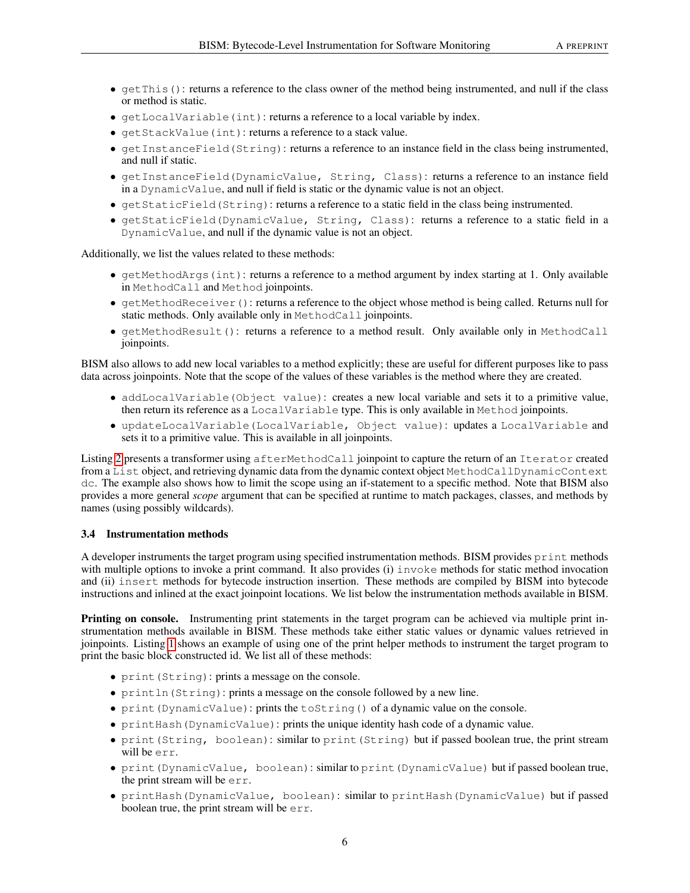- getThis(): returns a reference to the class owner of the method being instrumented, and null if the class or method is static.
- getLocalVariable(int): returns a reference to a local variable by index.
- getStackValue(int): returns a reference to a stack value.
- getInstanceField(String): returns a reference to an instance field in the class being instrumented, and null if static.
- getInstanceField(DynamicValue, String, Class): returns a reference to an instance field in a DynamicValue, and null if field is static or the dynamic value is not an object.
- getStaticField(String): returns a reference to a static field in the class being instrumented.
- getStaticField(DynamicValue, String, Class): returns a reference to a static field in a DynamicValue, and null if the dynamic value is not an object.

Additionally, we list the values related to these methods:

- getMethodArgs(int): returns a reference to a method argument by index starting at 1. Only available in MethodCall and Method joinpoints.
- getMethodReceiver(): returns a reference to the object whose method is being called. Returns null for static methods. Only available only in MethodCall joinpoints.
- getMethodResult(): returns a reference to a method result. Only available only in MethodCall joinpoints.

BISM also allows to add new local variables to a method explicitly; these are useful for different purposes like to pass data across joinpoints. Note that the scope of the values of these variables is the method where they are created.

- addLocalVariable(Object value): creates a new local variable and sets it to a primitive value, then return its reference as a LocalVariable type. This is only available in Method joinpoints.
- updateLocalVariable(LocalVariable, Object value): updates a LocalVariable and sets it to a primitive value. This is available in all joinpoints.

Listing [2](#page-6-1) presents a transformer using afterMethodCall joinpoint to capture the return of an Iterator created from a List object, and retrieving dynamic data from the dynamic context object MethodCallDynamicContext dc. The example also shows how to limit the scope using an if-statement to a specific method. Note that BISM also provides a more general *scope* argument that can be specified at runtime to match packages, classes, and methods by names (using possibly wildcards).

#### <span id="page-5-0"></span>3.4 Instrumentation methods

A developer instruments the target program using specified instrumentation methods. BISM provides print methods with multiple options to invoke a print command. It also provides (i) invoke methods for static method invocation and (ii) insert methods for bytecode instruction insertion. These methods are compiled by BISM into bytecode instructions and inlined at the exact joinpoint locations. We list below the instrumentation methods available in BISM.

Printing on console. Instrumenting print statements in the target program can be achieved via multiple print instrumentation methods available in BISM. These methods take either static values or dynamic values retrieved in joinpoints. Listing [1](#page-4-1) shows an example of using one of the print helper methods to instrument the target program to print the basic block constructed id. We list all of these methods:

- print (String): prints a message on the console.
- println(String): prints a message on the console followed by a new line.
- print(DynamicValue): prints the toString() of a dynamic value on the console.
- printHash(DynamicValue): prints the unique identity hash code of a dynamic value.
- print (String, boolean): similar to print (String) but if passed boolean true, the print stream will be err.
- print(DynamicValue, boolean): similar to print(DynamicValue) but if passed boolean true, the print stream will be err.
- printHash(DynamicValue, boolean): similar to printHash(DynamicValue) but if passed boolean true, the print stream will be err.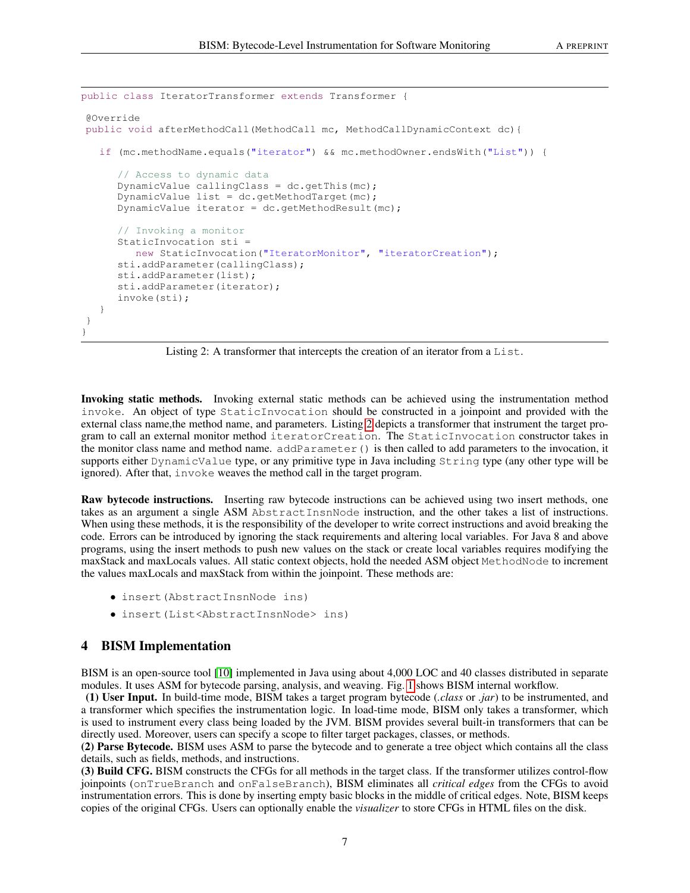```
public class IteratorTransformer extends Transformer {
@Override
public void afterMethodCall(MethodCall mc, MethodCallDynamicContext dc){
   if (mc.methodName.equals("iterator") && mc.methodOwner.endsWith("List")) {
      // Access to dynamic data
      DynamicValue callingClass = dc.getThis(mc);DynamicValue list = dc.getMethodTarget(mc);
      DynamicValue iterator = dc.getMethodResult(mc);// Invoking a monitor
      StaticInvocation sti =
         new StaticInvocation("IteratorMonitor", "iteratorCreation");
      sti.addParameter(callingClass);
      sti.addParameter(list);
      sti.addParameter(iterator);
      invoke(sti);
   }
}
}
```
Listing 2: A transformer that intercepts the creation of an iterator from a List.

Invoking static methods. Invoking external static methods can be achieved using the instrumentation method invoke. An object of type StaticInvocation should be constructed in a joinpoint and provided with the external class name,the method name, and parameters. Listing [2](#page-6-1) depicts a transformer that instrument the target program to call an external monitor method iteratorCreation. The StaticInvocation constructor takes in the monitor class name and method name. addParameter() is then called to add parameters to the invocation, it supports either DynamicValue type, or any primitive type in Java including String type (any other type will be ignored). After that, invoke weaves the method call in the target program.

Raw bytecode instructions. Inserting raw bytecode instructions can be achieved using two insert methods, one takes as an argument a single ASM AbstractInsnNode instruction, and the other takes a list of instructions. When using these methods, it is the responsibility of the developer to write correct instructions and avoid breaking the code. Errors can be introduced by ignoring the stack requirements and altering local variables. For Java 8 and above programs, using the insert methods to push new values on the stack or create local variables requires modifying the maxStack and maxLocals values. All static context objects, hold the needed ASM object MethodNode to increment the values maxLocals and maxStack from within the joinpoint. These methods are:

- insert(AbstractInsnNode ins)
- insert(List<AbstractInsnNode> ins)

#### <span id="page-6-0"></span>4 BISM Implementation

BISM is an open-source tool [\[10\]](#page-11-9) implemented in Java using about 4,000 LOC and 40 classes distributed in separate modules. It uses ASM for bytecode parsing, analysis, and weaving. Fig. [1](#page-7-1) shows BISM internal workflow.

(1) User Input. In build-time mode, BISM takes a target program bytecode (*.class* or *.jar*) to be instrumented, and a transformer which specifies the instrumentation logic. In load-time mode, BISM only takes a transformer, which is used to instrument every class being loaded by the JVM. BISM provides several built-in transformers that can be directly used. Moreover, users can specify a scope to filter target packages, classes, or methods.

(2) Parse Bytecode. BISM uses ASM to parse the bytecode and to generate a tree object which contains all the class details, such as fields, methods, and instructions.

(3) Build CFG. BISM constructs the CFGs for all methods in the target class. If the transformer utilizes control-flow joinpoints (onTrueBranch and onFalseBranch), BISM eliminates all *critical edges* from the CFGs to avoid instrumentation errors. This is done by inserting empty basic blocks in the middle of critical edges. Note, BISM keeps copies of the original CFGs. Users can optionally enable the *visualizer* to store CFGs in HTML files on the disk.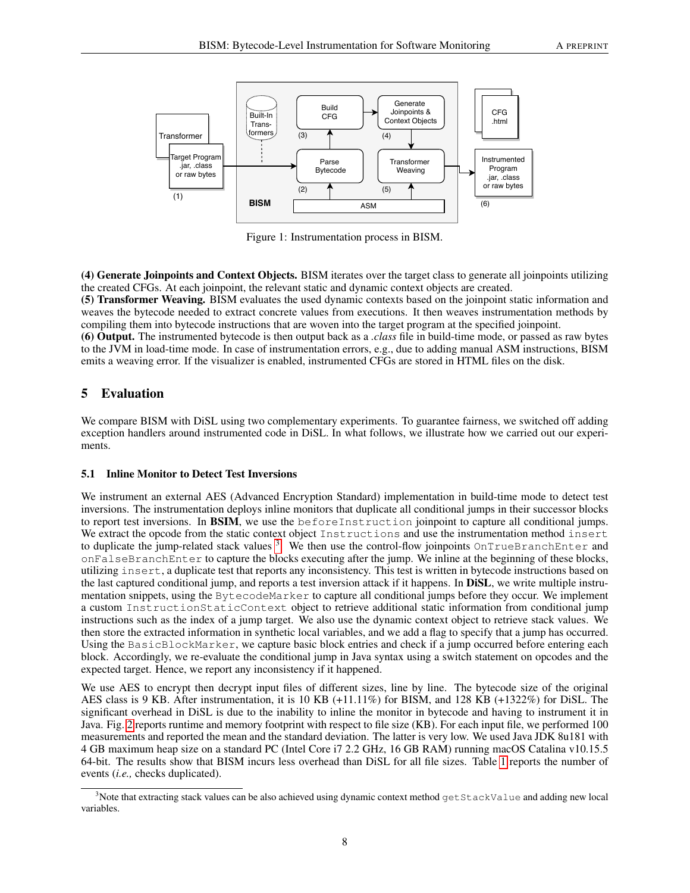<span id="page-7-1"></span>

Figure 1: Instrumentation process in BISM.

(4) Generate Joinpoints and Context Objects. BISM iterates over the target class to generate all joinpoints utilizing the created CFGs. At each joinpoint, the relevant static and dynamic context objects are created.

(5) Transformer Weaving. BISM evaluates the used dynamic contexts based on the joinpoint static information and weaves the bytecode needed to extract concrete values from executions. It then weaves instrumentation methods by compiling them into bytecode instructions that are woven into the target program at the specified joinpoint.

(6) Output. The instrumented bytecode is then output back as a *.class* file in build-time mode, or passed as raw bytes to the JVM in load-time mode. In case of instrumentation errors, e.g., due to adding manual ASM instructions, BISM emits a weaving error. If the visualizer is enabled, instrumented CFGs are stored in HTML files on the disk.

# <span id="page-7-0"></span>5 Evaluation

We compare BISM with DiSL using two complementary experiments. To guarantee fairness, we switched off adding exception handlers around instrumented code in DiSL. In what follows, we illustrate how we carried out our experiments.

## <span id="page-7-3"></span>5.1 Inline Monitor to Detect Test Inversions

We instrument an external AES (Advanced Encryption Standard) implementation in build-time mode to detect test inversions. The instrumentation deploys inline monitors that duplicate all conditional jumps in their successor blocks to report test inversions. In BSIM, we use the beforeInstruction joinpoint to capture all conditional jumps. We extract the opcode from the static context object Instructions and use the instrumentation method insert to duplicate the jump-related stack values <sup>[3](#page-7-2)</sup>. We then use the control-flow joinpoints OnTrueBranchEnter and onFalseBranchEnter to capture the blocks executing after the jump. We inline at the beginning of these blocks, utilizing insert, a duplicate test that reports any inconsistency. This test is written in bytecode instructions based on the last captured conditional jump, and reports a test inversion attack if it happens. In DiSL, we write multiple instrumentation snippets, using the BytecodeMarker to capture all conditional jumps before they occur. We implement a custom InstructionStaticContext object to retrieve additional static information from conditional jump instructions such as the index of a jump target. We also use the dynamic context object to retrieve stack values. We then store the extracted information in synthetic local variables, and we add a flag to specify that a jump has occurred. Using the BasicBlockMarker, we capture basic block entries and check if a jump occurred before entering each block. Accordingly, we re-evaluate the conditional jump in Java syntax using a switch statement on opcodes and the expected target. Hence, we report any inconsistency if it happened.

We use AES to encrypt then decrypt input files of different sizes, line by line. The bytecode size of the original AES class is 9 KB. After instrumentation, it is 10 KB (+11.11%) for BISM, and 128 KB (+1322%) for DiSL. The significant overhead in DiSL is due to the inability to inline the monitor in bytecode and having to instrument it in Java. Fig. [2](#page-8-0) reports runtime and memory footprint with respect to file size (KB). For each input file, we performed 100 measurements and reported the mean and the standard deviation. The latter is very low. We used Java JDK 8u181 with 4 GB maximum heap size on a standard PC (Intel Core i7 2.2 GHz, 16 GB RAM) running macOS Catalina v10.15.5 64-bit. The results show that BISM incurs less overhead than DiSL for all file sizes. Table [1](#page-8-1) reports the number of events (*i.e.,* checks duplicated).

<span id="page-7-2"></span><sup>&</sup>lt;sup>3</sup>Note that extracting stack values can be also achieved using dynamic context method  $q$ etStackValue and adding new local variables.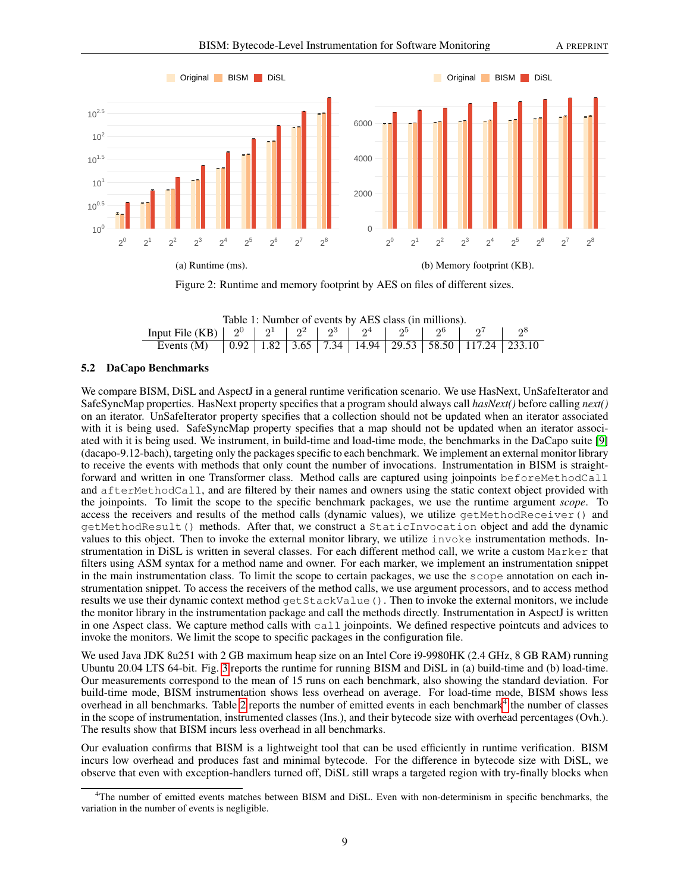<span id="page-8-0"></span>

Figure 2: Runtime and memory footprint by AES on files of different sizes.

<span id="page-8-1"></span>

| Table 1: Number of events by AES class (in millions).                                          |  |  |  |  |  |  |  |  |       |  |  |
|------------------------------------------------------------------------------------------------|--|--|--|--|--|--|--|--|-------|--|--|
| Input File (KB) $\mid 2^0 \mid 2^1 \mid 2^2 \mid 2^3 \mid 2^4 \mid 2^5 \mid 2^6 \mid 2^7 \mid$ |  |  |  |  |  |  |  |  | $2^8$ |  |  |
|                                                                                                |  |  |  |  |  |  |  |  |       |  |  |

#### 5.2 DaCapo Benchmarks

We compare BISM, DiSL and AspectJ in a general runtime verification scenario. We use HasNext, UnSafeIterator and SafeSyncMap properties. HasNext property specifies that a program should always call *hasNext()* before calling *next()* on an iterator. UnSafeIterator property specifies that a collection should not be updated when an iterator associated with it is being used. SafeSyncMap property specifies that a map should not be updated when an iterator associated with it is being used. We instrument, in build-time and load-time mode, the benchmarks in the DaCapo suite [\[9\]](#page-11-8) (dacapo-9.12-bach), targeting only the packages specific to each benchmark. We implement an external monitor library to receive the events with methods that only count the number of invocations. Instrumentation in BISM is straightforward and written in one Transformer class. Method calls are captured using joinpoints beforeMethodCall and afterMethodCall, and are filtered by their names and owners using the static context object provided with the joinpoints. To limit the scope to the specific benchmark packages, we use the runtime argument *scope*. To access the receivers and results of the method calls (dynamic values), we utilize getMethodReceiver() and getMethodResult() methods. After that, we construct a StaticInvocation object and add the dynamic values to this object. Then to invoke the external monitor library, we utilize invoke instrumentation methods. Instrumentation in DiSL is written in several classes. For each different method call, we write a custom Marker that filters using ASM syntax for a method name and owner. For each marker, we implement an instrumentation snippet in the main instrumentation class. To limit the scope to certain packages, we use the scope annotation on each instrumentation snippet. To access the receivers of the method calls, we use argument processors, and to access method results we use their dynamic context method getStackValue(). Then to invoke the external monitors, we include the monitor library in the instrumentation package and call the methods directly. Instrumentation in AspectJ is written in one Aspect class. We capture method calls with call joinpoints. We defined respective pointcuts and advices to invoke the monitors. We limit the scope to specific packages in the configuration file.

We used Java JDK 8u251 with 2 GB maximum heap size on an Intel Core i9-9980HK (2.4 GHz, 8 GB RAM) running Ubuntu 20.04 LTS 64-bit. Fig. [3](#page-9-1) reports the runtime for running BISM and DiSL in (a) build-time and (b) load-time. Our measurements correspond to the mean of 15 runs on each benchmark, also showing the standard deviation. For build-time mode, BISM instrumentation shows less overhead on average. For load-time mode, BISM shows less overhead in all benchmarks. Table [2](#page-9-2) reports the number of emitted events in each benchmark<sup>[4](#page-8-2)</sup> the number of classes in the scope of instrumentation, instrumented classes (Ins.), and their bytecode size with overhead percentages (Ovh.). The results show that BISM incurs less overhead in all benchmarks.

Our evaluation confirms that BISM is a lightweight tool that can be used efficiently in runtime verification. BISM incurs low overhead and produces fast and minimal bytecode. For the difference in bytecode size with DiSL, we observe that even with exception-handlers turned off, DiSL still wraps a targeted region with try-finally blocks when

<span id="page-8-2"></span><sup>4</sup>The number of emitted events matches between BISM and DiSL. Even with non-determinism in specific benchmarks, the variation in the number of events is negligible.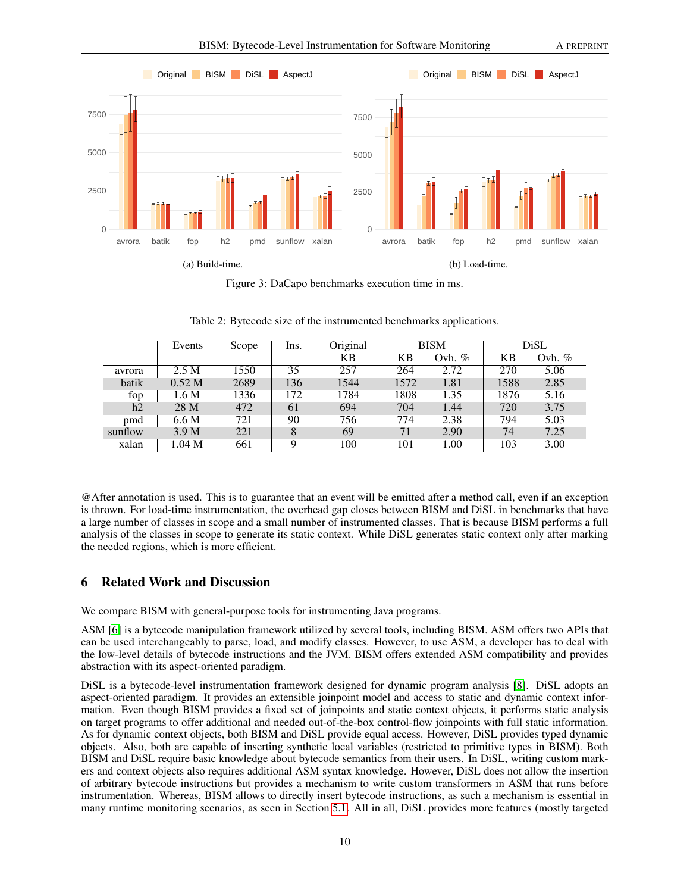<span id="page-9-1"></span>

Figure 3: DaCapo benchmarks execution time in ms.

<span id="page-9-2"></span>

|         | Events            | Scope |     | Original | <b>BISM</b> |          | DiSL |          |
|---------|-------------------|-------|-----|----------|-------------|----------|------|----------|
|         |                   |       |     | KB       | KВ          | Ovh. $%$ | KB   | Ovh. $%$ |
| avrora  | 2.5 M             | 1550  | 35  | 257      | 264         | 2.72     | 270  | 5.06     |
| batik   | 0.52 <sub>M</sub> | 2689  | 136 | 1544     | 1572        | 1.81     | 1588 | 2.85     |
| fop     | 1.6 M             | 1336  | 172 | 1784     | 1808        | 1.35     | 1876 | 5.16     |
| h2      | 28 M              | 472   | 61  | 694      | 704         | 1.44     | 720  | 3.75     |
| pmd     | 6.6 M             | 721   | 90  | 756      | 774         | 2.38     | 794  | 5.03     |
| sunflow | 3.9 <sub>M</sub>  | 221   | 8   | 69       | 71          | 2.90     | 74   | 7.25     |
| xalan   | 1.04 <sub>M</sub> | 661   | Q   | 100      | 101         | 1.00     | 103  | 3.00     |

Table 2: Bytecode size of the instrumented benchmarks applications.

@After annotation is used. This is to guarantee that an event will be emitted after a method call, even if an exception is thrown. For load-time instrumentation, the overhead gap closes between BISM and DiSL in benchmarks that have a large number of classes in scope and a small number of instrumented classes. That is because BISM performs a full analysis of the classes in scope to generate its static context. While DiSL generates static context only after marking the needed regions, which is more efficient.

# <span id="page-9-0"></span>6 Related Work and Discussion

We compare BISM with general-purpose tools for instrumenting Java programs.

ASM [\[6\]](#page-11-5) is a bytecode manipulation framework utilized by several tools, including BISM. ASM offers two APIs that can be used interchangeably to parse, load, and modify classes. However, to use ASM, a developer has to deal with the low-level details of bytecode instructions and the JVM. BISM offers extended ASM compatibility and provides abstraction with its aspect-oriented paradigm.

DiSL is a bytecode-level instrumentation framework designed for dynamic program analysis [\[8\]](#page-11-7). DiSL adopts an aspect-oriented paradigm. It provides an extensible joinpoint model and access to static and dynamic context information. Even though BISM provides a fixed set of joinpoints and static context objects, it performs static analysis on target programs to offer additional and needed out-of-the-box control-flow joinpoints with full static information. As for dynamic context objects, both BISM and DiSL provide equal access. However, DiSL provides typed dynamic objects. Also, both are capable of inserting synthetic local variables (restricted to primitive types in BISM). Both BISM and DiSL require basic knowledge about bytecode semantics from their users. In DiSL, writing custom markers and context objects also requires additional ASM syntax knowledge. However, DiSL does not allow the insertion of arbitrary bytecode instructions but provides a mechanism to write custom transformers in ASM that runs before instrumentation. Whereas, BISM allows to directly insert bytecode instructions, as such a mechanism is essential in many runtime monitoring scenarios, as seen in Section [5.1.](#page-7-3) All in all, DiSL provides more features (mostly targeted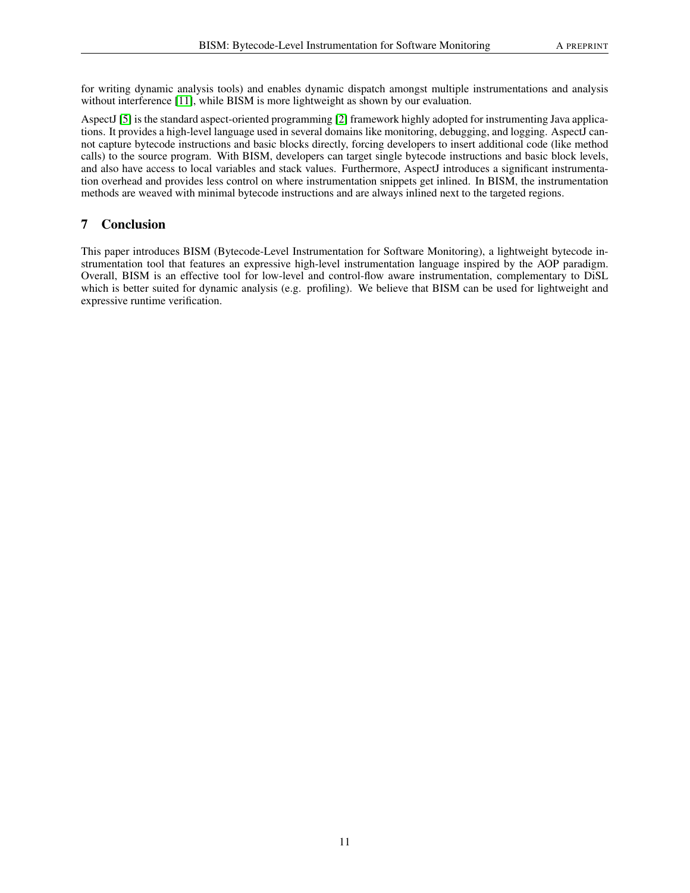for writing dynamic analysis tools) and enables dynamic dispatch amongst multiple instrumentations and analysis without interference [\[11\]](#page-11-10), while BISM is more lightweight as shown by our evaluation.

AspectJ [\[5\]](#page-11-4) is the standard aspect-oriented programming [\[2\]](#page-11-1) framework highly adopted for instrumenting Java applications. It provides a high-level language used in several domains like monitoring, debugging, and logging. AspectJ cannot capture bytecode instructions and basic blocks directly, forcing developers to insert additional code (like method calls) to the source program. With BISM, developers can target single bytecode instructions and basic block levels, and also have access to local variables and stack values. Furthermore, AspectJ introduces a significant instrumentation overhead and provides less control on where instrumentation snippets get inlined. In BISM, the instrumentation methods are weaved with minimal bytecode instructions and are always inlined next to the targeted regions.

# <span id="page-10-0"></span>7 Conclusion

This paper introduces BISM (Bytecode-Level Instrumentation for Software Monitoring), a lightweight bytecode instrumentation tool that features an expressive high-level instrumentation language inspired by the AOP paradigm. Overall, BISM is an effective tool for low-level and control-flow aware instrumentation, complementary to DiSL which is better suited for dynamic analysis (e.g. profiling). We believe that BISM can be used for lightweight and expressive runtime verification.